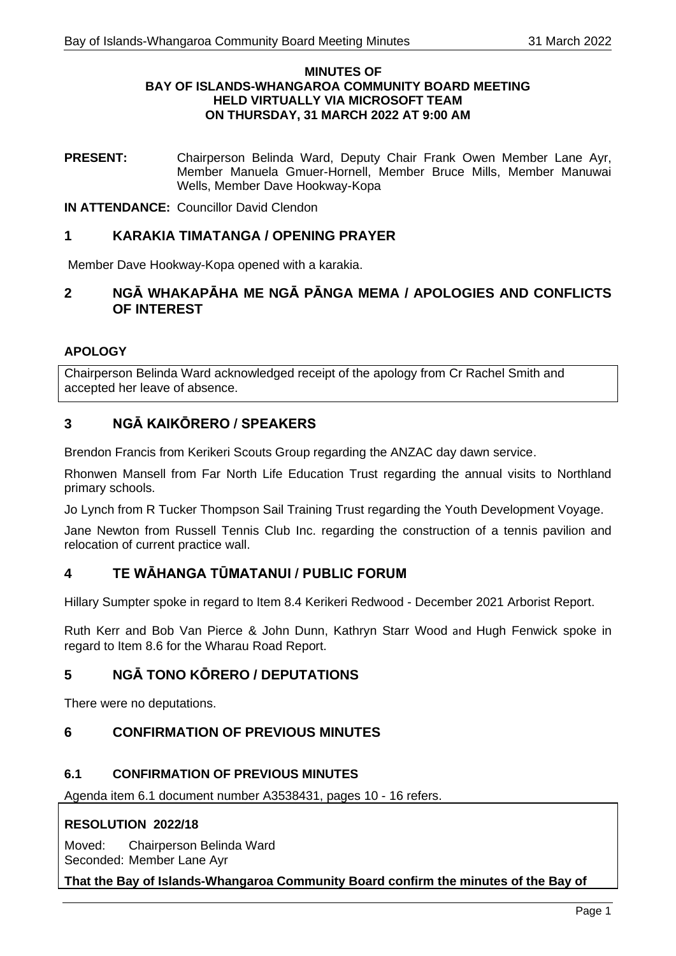#### **MINUTES OF BAY OF ISLANDS-WHANGAROA COMMUNITY BOARD MEETING HELD VIRTUALLY VIA MICROSOFT TEAM ON THURSDAY, 31 MARCH 2022 AT 9:00 AM**

**PRESENT:** Chairperson Belinda Ward, Deputy Chair Frank Owen Member Lane Ayr, Member Manuela Gmuer-Hornell, Member Bruce Mills, Member Manuwai Wells, Member Dave Hookway-Kopa

**IN ATTENDANCE:** Councillor David Clendon

# **1 KARAKIA TIMATANGA / OPENING PRAYER**

Member Dave Hookway-Kopa opened with a karakia.

# **2 NGĀ WHAKAPĀHA ME NGĀ PĀNGA MEMA / APOLOGIES AND CONFLICTS OF INTEREST**

## **APOLOGY**

Chairperson Belinda Ward acknowledged receipt of the apology from Cr Rachel Smith and accepted her leave of absence.

# **3 NGĀ KAIKŌRERO / SPEAKERS**

Brendon Francis from Kerikeri Scouts Group regarding the ANZAC day dawn service.

Rhonwen Mansell from Far North Life Education Trust regarding the annual visits to Northland primary schools.

Jo Lynch from R Tucker Thompson Sail Training Trust regarding the Youth Development Voyage.

Jane Newton from Russell Tennis Club Inc. regarding the construction of a tennis pavilion and relocation of current practice wall.

# **4 TE WĀHANGA TŪMATANUI / PUBLIC FORUM**

Hillary Sumpter spoke in regard to Item 8.4 Kerikeri Redwood - December 2021 Arborist Report.

Ruth Kerr and Bob Van Pierce & John Dunn, Kathryn Starr Wood and Hugh Fenwick spoke in regard to Item 8.6 for the Wharau Road Report.

# **5 NGĀ TONO KŌRERO / DEPUTATIONS**

There were no deputations.

# **6 CONFIRMATION OF PREVIOUS MINUTES**

## **6.1 CONFIRMATION OF PREVIOUS MINUTES**

Agenda item 6.1 document number A3538431, pages 10 - 16 refers.

# **RESOLUTION 2022/18**

Moved: Chairperson Belinda Ward Seconded: Member Lane Ayr

## **That the Bay of Islands-Whangaroa Community Board confirm the minutes of the Bay of**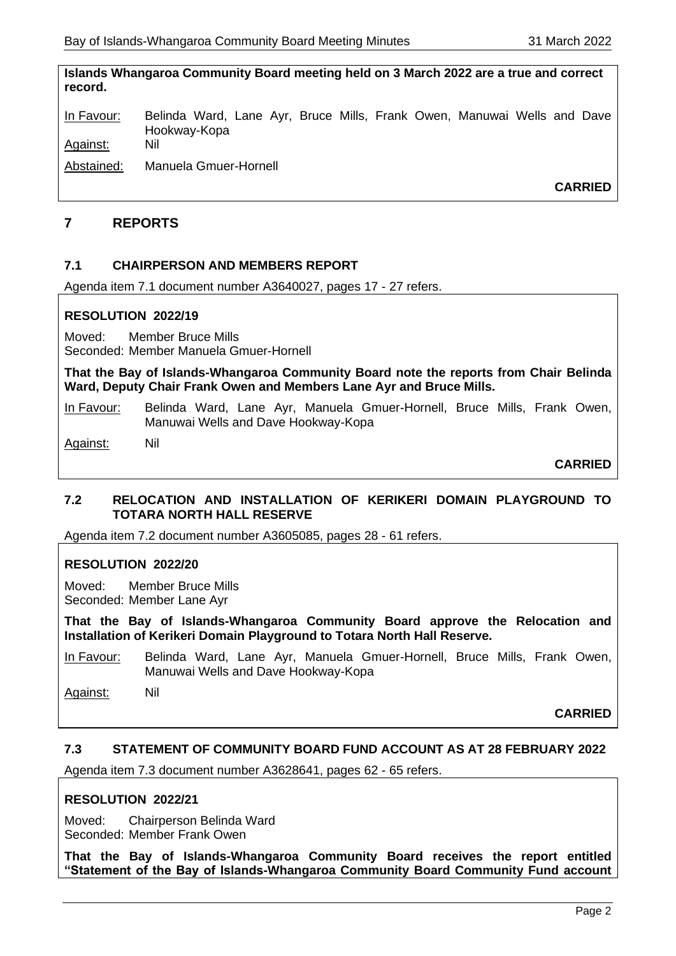**Islands Whangaroa Community Board meeting held on 3 March 2022 are a true and correct record.**

In Favour: Belinda Ward, Lane Ayr, Bruce Mills, Frank Owen, Manuwai Wells and Dave Hookway-Kopa Against: Nil

Abstained: Manuela Gmuer-Hornell

**CARRIED**

## **7 REPORTS**

## **7.1 CHAIRPERSON AND MEMBERS REPORT**

Agenda item 7.1 document number A3640027, pages 17 - 27 refers.

### **RESOLUTION 2022/19**

Moved: Member Bruce Mills Seconded: Member Manuela Gmuer-Hornell

**That the Bay of Islands-Whangaroa Community Board note the reports from Chair Belinda Ward, Deputy Chair Frank Owen and Members Lane Ayr and Bruce Mills.**

In Favour: Belinda Ward, Lane Ayr, Manuela Gmuer-Hornell, Bruce Mills, Frank Owen, Manuwai Wells and Dave Hookway-Kopa

Against: Nil

**CARRIED**

## **7.2 RELOCATION AND INSTALLATION OF KERIKERI DOMAIN PLAYGROUND TO TOTARA NORTH HALL RESERVE**

Agenda item 7.2 document number A3605085, pages 28 - 61 refers.

## **RESOLUTION 2022/20**

Moved: Member Bruce Mills Seconded: Member Lane Ayr

**That the Bay of Islands-Whangaroa Community Board approve the Relocation and Installation of Kerikeri Domain Playground to Totara North Hall Reserve.**

In Favour: Belinda Ward, Lane Ayr, Manuela Gmuer-Hornell, Bruce Mills, Frank Owen, Manuwai Wells and Dave Hookway-Kopa

Against: Nil

**CARRIED**

## **7.3 STATEMENT OF COMMUNITY BOARD FUND ACCOUNT AS AT 28 FEBRUARY 2022**

Agenda item 7.3 document number A3628641, pages 62 - 65 refers.

## **RESOLUTION 2022/21**

Moved: Chairperson Belinda Ward Seconded: Member Frank Owen

**That the Bay of Islands-Whangaroa Community Board receives the report entitled "Statement of the Bay of Islands-Whangaroa Community Board Community Fund account**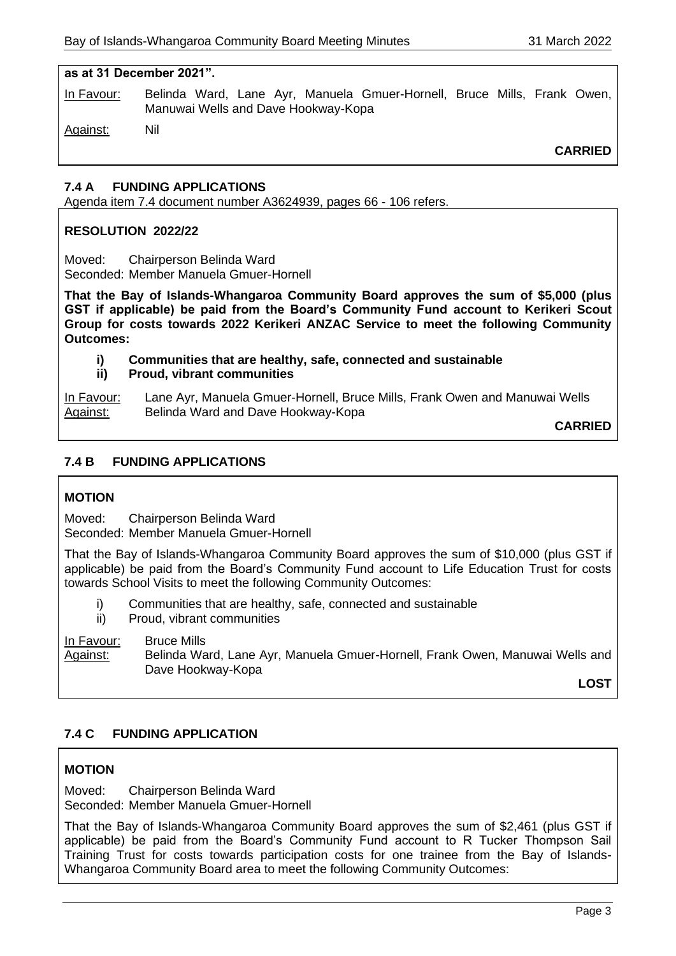#### **as at 31 December 2021".**

In Favour: Belinda Ward, Lane Ayr, Manuela Gmuer-Hornell, Bruce Mills, Frank Owen, Manuwai Wells and Dave Hookway-Kopa

Against: Nil

**CARRIED**

## **7.4 A FUNDING APPLICATIONS**

Agenda item 7.4 document number A3624939, pages 66 - 106 refers.

## **RESOLUTION 2022/22**

Moved: Chairperson Belinda Ward Seconded: Member Manuela Gmuer-Hornell

**That the Bay of Islands-Whangaroa Community Board approves the sum of \$5,000 (plus GST if applicable) be paid from the Board's Community Fund account to Kerikeri Scout Group for costs towards 2022 Kerikeri ANZAC Service to meet the following Community Outcomes:**

- **i) Communities that are healthy, safe, connected and sustainable**
- **ii) Proud, vibrant communities**

In Favour: Lane Ayr, Manuela Gmuer-Hornell, Bruce Mills, Frank Owen and Manuwai Wells Against: Belinda Ward and Dave Hookway-Kopa

**CARRIED**

## **7.4 B FUNDING APPLICATIONS**

## **MOTION**

Moved: Chairperson Belinda Ward Seconded: Member Manuela Gmuer-Hornell

That the Bay of Islands-Whangaroa Community Board approves the sum of \$10,000 (plus GST if applicable) be paid from the Board's Community Fund account to Life Education Trust for costs towards School Visits to meet the following Community Outcomes:

- i) Communities that are healthy, safe, connected and sustainable
- ii) Proud, vibrant communities

In Favour: Bruce Mills Against: Belinda Ward, Lane Ayr, Manuela Gmuer-Hornell, Frank Owen, Manuwai Wells and Dave Hookway-Kopa

**LOST**

## **7.4 C FUNDING APPLICATION**

## **MOTION**

Moved: Chairperson Belinda Ward Seconded: Member Manuela Gmuer-Hornell

That the Bay of Islands-Whangaroa Community Board approves the sum of \$2,461 (plus GST if applicable) be paid from the Board's Community Fund account to R Tucker Thompson Sail Training Trust for costs towards participation costs for one trainee from the Bay of Islands-Whangaroa Community Board area to meet the following Community Outcomes: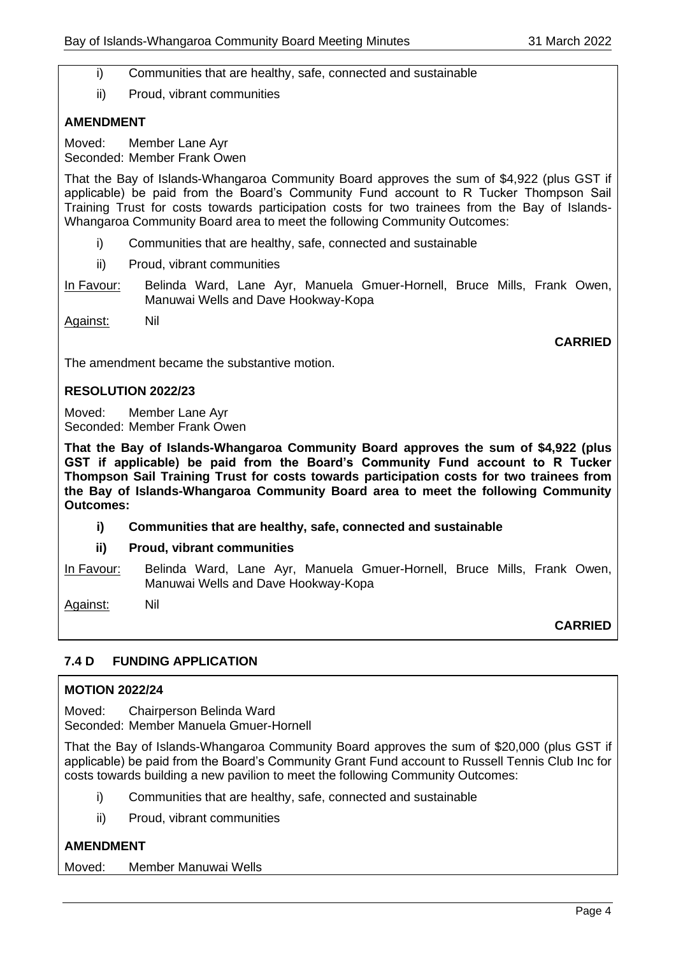i) Communities that are healthy, safe, connected and sustainable

ii) Proud, vibrant communities

## **AMENDMENT**

Moved: Member Lane Ayr Seconded: Member Frank Owen

That the Bay of Islands-Whangaroa Community Board approves the sum of \$4,922 (plus GST if applicable) be paid from the Board's Community Fund account to R Tucker Thompson Sail Training Trust for costs towards participation costs for two trainees from the Bay of Islands-Whangaroa Community Board area to meet the following Community Outcomes:

- i) Communities that are healthy, safe, connected and sustainable
- ii) Proud, vibrant communities
- In Favour: Belinda Ward, Lane Ayr, Manuela Gmuer-Hornell, Bruce Mills, Frank Owen, Manuwai Wells and Dave Hookway-Kopa

Against: Nil

**CARRIED**

The amendment became the substantive motion.

### **RESOLUTION 2022/23**

Moved: Member Lane Ayr Seconded: Member Frank Owen

**That the Bay of Islands-Whangaroa Community Board approves the sum of \$4,922 (plus GST if applicable) be paid from the Board's Community Fund account to R Tucker Thompson Sail Training Trust for costs towards participation costs for two trainees from the Bay of Islands-Whangaroa Community Board area to meet the following Community Outcomes:**

**i) Communities that are healthy, safe, connected and sustainable**

## **ii) Proud, vibrant communities**

In Favour: Belinda Ward, Lane Ayr, Manuela Gmuer-Hornell, Bruce Mills, Frank Owen, Manuwai Wells and Dave Hookway-Kopa

Against: Nil

**CARRIED**

## **7.4 D FUNDING APPLICATION**

#### **MOTION 2022/24**

Moved: Chairperson Belinda Ward Seconded: Member Manuela Gmuer-Hornell

That the Bay of Islands-Whangaroa Community Board approves the sum of \$20,000 (plus GST if applicable) be paid from the Board's Community Grant Fund account to Russell Tennis Club Inc for costs towards building a new pavilion to meet the following Community Outcomes:

- i) Communities that are healthy, safe, connected and sustainable
- ii) Proud, vibrant communities

## **AMENDMENT**

Moved: Member Manuwai Wells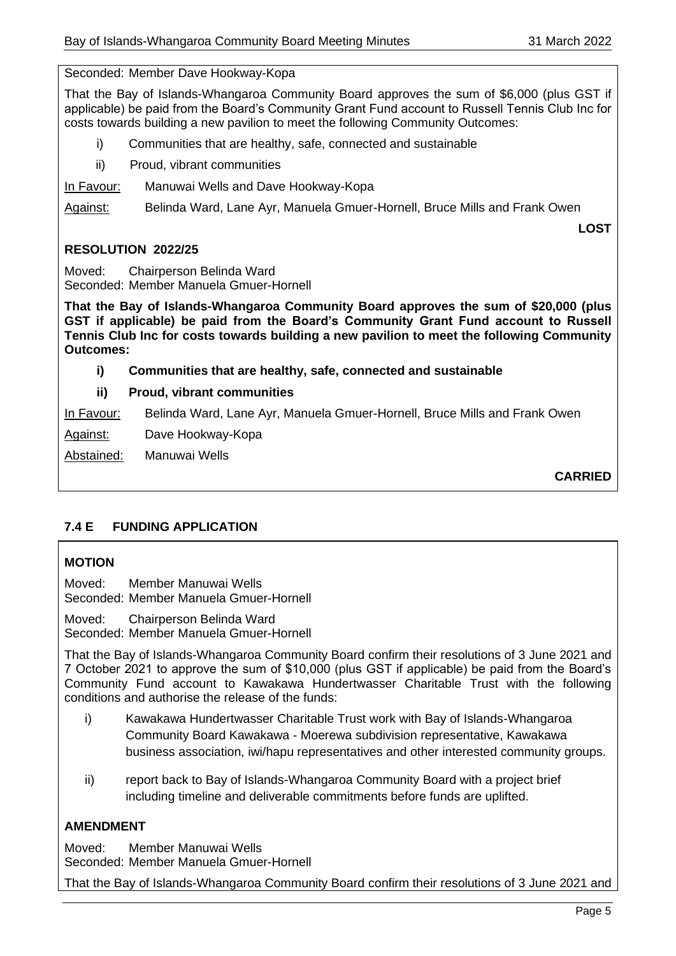Seconded: Member Dave Hookway-Kopa

That the Bay of Islands-Whangaroa Community Board approves the sum of \$6,000 (plus GST if applicable) be paid from the Board's Community Grant Fund account to Russell Tennis Club Inc for costs towards building a new pavilion to meet the following Community Outcomes:

- i) Communities that are healthy, safe, connected and sustainable
- ii) Proud, vibrant communities

## In Favour: Manuwai Wells and Dave Hookway-Kopa

Against: Belinda Ward, Lane Ayr, Manuela Gmuer-Hornell, Bruce Mills and Frank Owen

**LOST** 

# **RESOLUTION 2022/25**

Moved: Chairperson Belinda Ward Seconded: Member Manuela Gmuer-Hornell

**That the Bay of Islands-Whangaroa Community Board approves the sum of \$20,000 (plus GST if applicable) be paid from the Board's Community Grant Fund account to Russell Tennis Club Inc for costs towards building a new pavilion to meet the following Community Outcomes:**

## **i) Communities that are healthy, safe, connected and sustainable**

# **ii) Proud, vibrant communities**

In Favour: Belinda Ward, Lane Ayr, Manuela Gmuer-Hornell, Bruce Mills and Frank Owen

Against: Dave Hookway-Kopa

Abstained: Manuwai Wells

**CARRIED**

# **7.4 E FUNDING APPLICATION**

## **MOTION**

Moved: Member Manuwai Wells Seconded: Member Manuela Gmuer-Hornell

Moved: Chairperson Belinda Ward Seconded: Member Manuela Gmuer-Hornell

That the Bay of Islands-Whangaroa Community Board confirm their resolutions of 3 June 2021 and 7 October 2021 to approve the sum of \$10,000 (plus GST if applicable) be paid from the Board's Community Fund account to Kawakawa Hundertwasser Charitable Trust with the following conditions and authorise the release of the funds:

- i) Kawakawa Hundertwasser Charitable Trust work with Bay of Islands-Whangaroa Community Board Kawakawa - Moerewa subdivision representative, Kawakawa business association, iwi/hapu representatives and other interested community groups.
- ii) report back to Bay of Islands-Whangaroa Community Board with a project brief including timeline and deliverable commitments before funds are uplifted.

## **AMENDMENT**

Moved: Member Manuwai Wells Seconded: Member Manuela Gmuer-Hornell

That the Bay of Islands-Whangaroa Community Board confirm their resolutions of 3 June 2021 and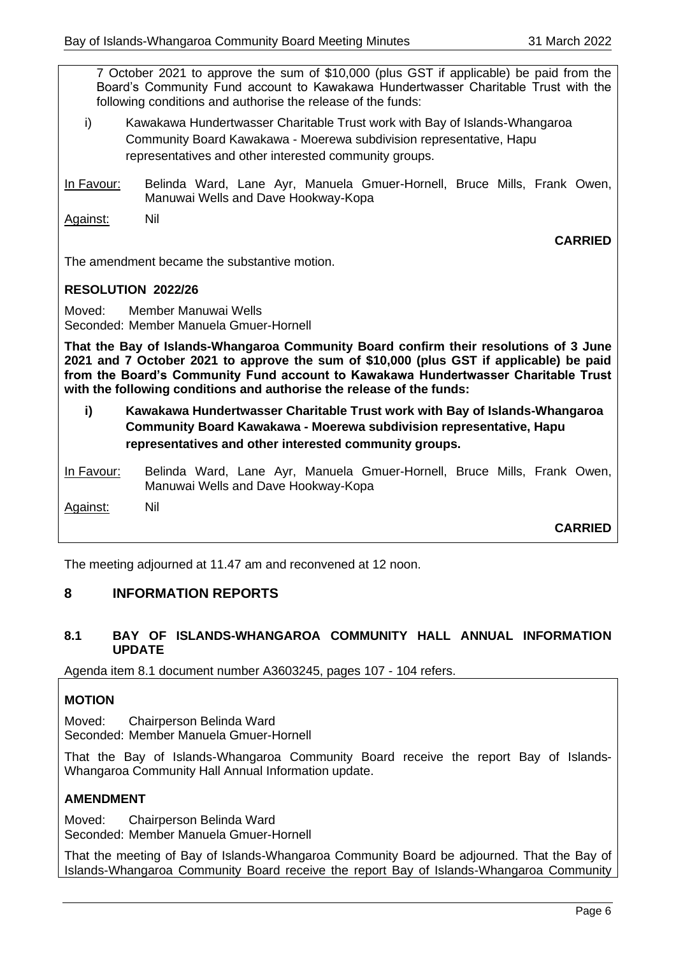7 October 2021 to approve the sum of \$10,000 (plus GST if applicable) be paid from the Board's Community Fund account to Kawakawa Hundertwasser Charitable Trust with the following conditions and authorise the release of the funds:

- i) Kawakawa Hundertwasser Charitable Trust work with Bay of Islands-Whangaroa Community Board Kawakawa - Moerewa subdivision representative, Hapu representatives and other interested community groups.
- In Favour: Belinda Ward, Lane Ayr, Manuela Gmuer-Hornell, Bruce Mills, Frank Owen, Manuwai Wells and Dave Hookway-Kopa

Against: Nil

**CARRIED**

The amendment became the substantive motion.

### **RESOLUTION 2022/26**

Moved: Member Manuwai Wells Seconded: Member Manuela Gmuer-Hornell

**That the Bay of Islands-Whangaroa Community Board confirm their resolutions of 3 June 2021 and 7 October 2021 to approve the sum of \$10,000 (plus GST if applicable) be paid from the Board's Community Fund account to Kawakawa Hundertwasser Charitable Trust with the following conditions and authorise the release of the funds:** 

**i) Kawakawa Hundertwasser Charitable Trust work with Bay of Islands-Whangaroa Community Board Kawakawa - Moerewa subdivision representative, Hapu representatives and other interested community groups.** 

In Favour: Belinda Ward, Lane Ayr, Manuela Gmuer-Hornell, Bruce Mills, Frank Owen, Manuwai Wells and Dave Hookway-Kopa

Against: Nil

**CARRIED**

The meeting adjourned at 11.47 am and reconvened at 12 noon.

# **8 INFORMATION REPORTS**

#### **8.1 BAY OF ISLANDS-WHANGAROA COMMUNITY HALL ANNUAL INFORMATION UPDATE**

Agenda item 8.1 document number A3603245, pages 107 - 104 refers.

## **MOTION**

Moved: Chairperson Belinda Ward Seconded: Member Manuela Gmuer-Hornell

That the Bay of Islands-Whangaroa Community Board receive the report Bay of Islands-Whangaroa Community Hall Annual Information update.

## **AMENDMENT**

Moved: Chairperson Belinda Ward Seconded: Member Manuela Gmuer-Hornell

That the meeting of Bay of Islands-Whangaroa Community Board be adjourned. That the Bay of Islands-Whangaroa Community Board receive the report Bay of Islands-Whangaroa Community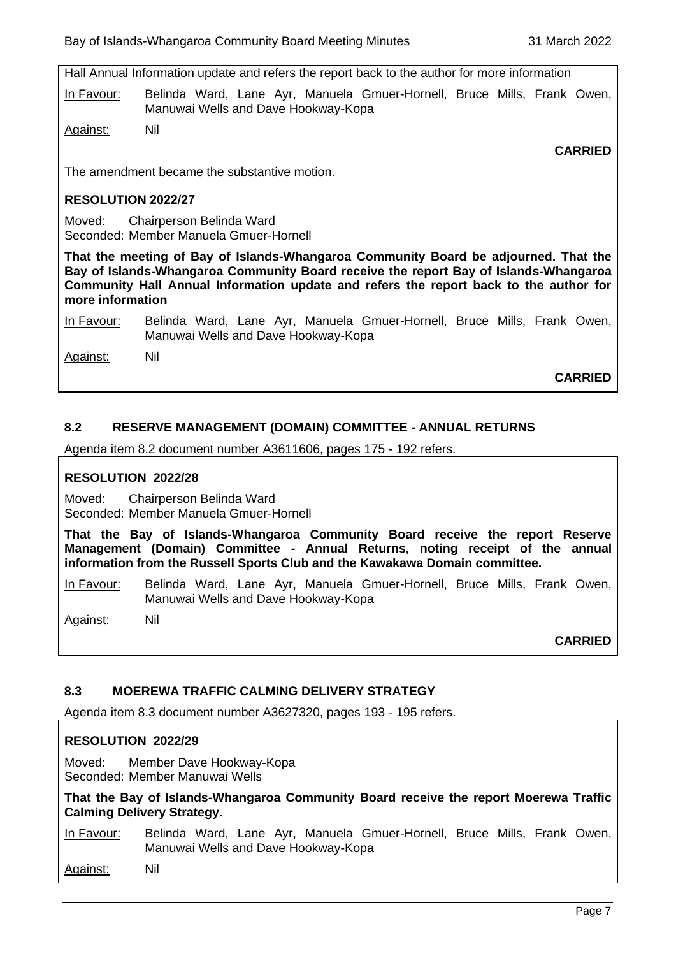Hall Annual Information update and refers the report back to the author for more information

In Favour: Belinda Ward, Lane Ayr, Manuela Gmuer-Hornell, Bruce Mills, Frank Owen, Manuwai Wells and Dave Hookway-Kopa

Against: Nil

**CARRIED**

The amendment became the substantive motion.

#### **RESOLUTION 2022/27**

Moved: Chairperson Belinda Ward Seconded: Member Manuela Gmuer-Hornell

**That the meeting of Bay of Islands-Whangaroa Community Board be adjourned. That the Bay of Islands-Whangaroa Community Board receive the report Bay of Islands-Whangaroa Community Hall Annual Information update and refers the report back to the author for more information** 

In Favour: Belinda Ward, Lane Ayr, Manuela Gmuer-Hornell, Bruce Mills, Frank Owen, Manuwai Wells and Dave Hookway-Kopa

Against: Nil

**CARRIED**

## **8.2 RESERVE MANAGEMENT (DOMAIN) COMMITTEE - ANNUAL RETURNS**

Agenda item 8.2 document number A3611606, pages 175 - 192 refers.

### **RESOLUTION 2022/28**

Moved: Chairperson Belinda Ward Seconded: Member Manuela Gmuer-Hornell

**That the Bay of Islands-Whangaroa Community Board receive the report Reserve Management (Domain) Committee - Annual Returns, noting receipt of the annual information from the Russell Sports Club and the Kawakawa Domain committee.**

In Favour: Belinda Ward, Lane Ayr, Manuela Gmuer-Hornell, Bruce Mills, Frank Owen, Manuwai Wells and Dave Hookway-Kopa

Against: Nil

**CARRIED**

## **8.3 MOEREWA TRAFFIC CALMING DELIVERY STRATEGY**

Agenda item 8.3 document number A3627320, pages 193 - 195 refers.

#### **RESOLUTION 2022/29**

Moved: Member Dave Hookway-Kopa Seconded: Member Manuwai Wells

**That the Bay of Islands-Whangaroa Community Board receive the report Moerewa Traffic Calming Delivery Strategy.**

In Favour: Belinda Ward, Lane Ayr, Manuela Gmuer-Hornell, Bruce Mills, Frank Owen, Manuwai Wells and Dave Hookway-Kopa

Against: Nil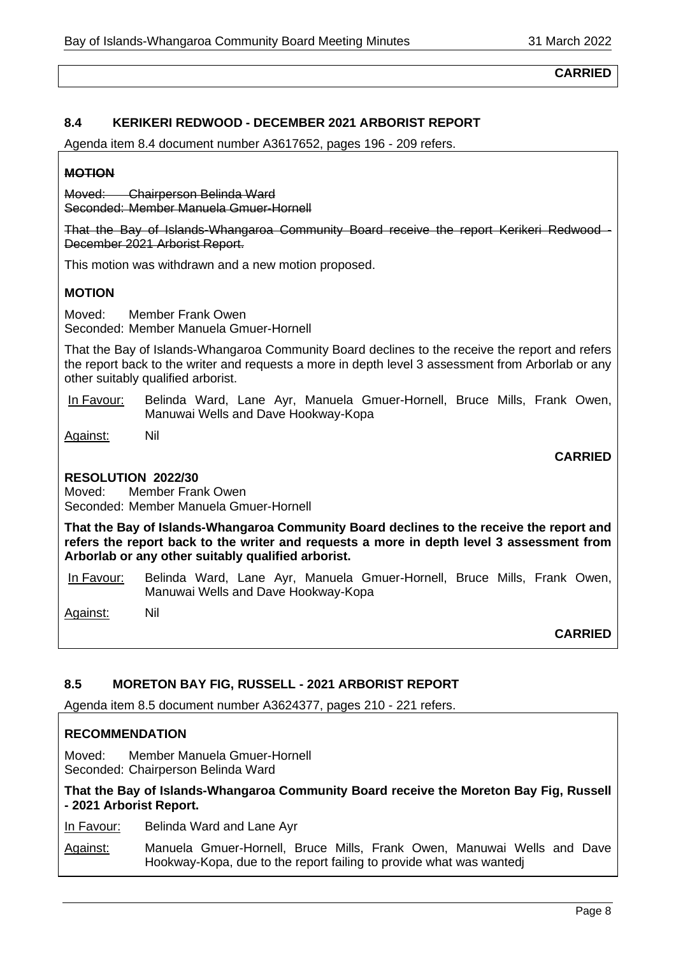**CARRIED**

## **8.4 KERIKERI REDWOOD - DECEMBER 2021 ARBORIST REPORT**

Agenda item 8.4 document number A3617652, pages 196 - 209 refers.

## **MOTION**

Moved: Chairperson Belinda Ward Seconded: Member Manuela Gmuer-Hornell

That the Bay of Islands-Whangaroa Community Board receive the report Kerikeri Redwood - December 2021 Arborist Report.

This motion was withdrawn and a new motion proposed.

# **MOTION**

Moved: Member Frank Owen Seconded: Member Manuela Gmuer-Hornell

That the Bay of Islands-Whangaroa Community Board declines to the receive the report and refers the report back to the writer and requests a more in depth level 3 assessment from Arborlab or any other suitably qualified arborist.

In Favour: Belinda Ward, Lane Ayr, Manuela Gmuer-Hornell, Bruce Mills, Frank Owen, Manuwai Wells and Dave Hookway-Kopa

Against: Nil

## **RESOLUTION 2022/30**

Moved: Member Frank Owen Seconded: Member Manuela Gmuer-Hornell

**That the Bay of Islands-Whangaroa Community Board declines to the receive the report and refers the report back to the writer and requests a more in depth level 3 assessment from Arborlab or any other suitably qualified arborist.** 

In Favour: Belinda Ward, Lane Ayr, Manuela Gmuer-Hornell, Bruce Mills, Frank Owen, Manuwai Wells and Dave Hookway-Kopa

Against: Nil

**CARRIED**

**CARRIED**

## **8.5 MORETON BAY FIG, RUSSELL - 2021 ARBORIST REPORT**

Agenda item 8.5 document number A3624377, pages 210 - 221 refers.

## **RECOMMENDATION**

Moved: Member Manuela Gmuer-Hornell Seconded: Chairperson Belinda Ward

### **That the Bay of Islands-Whangaroa Community Board receive the Moreton Bay Fig, Russell - 2021 Arborist Report.**

In Favour: Belinda Ward and Lane Ayr

Against: Manuela Gmuer-Hornell, Bruce Mills, Frank Owen, Manuwai Wells and Dave Hookway-Kopa, due to the report failing to provide what was wantedj